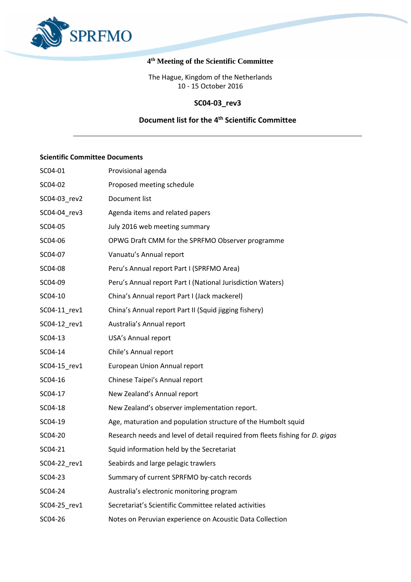

#### **4 th Meeting of the Scientific Committee**

The Hague, Kingdom of the Netherlands 10 - 15 October 2016

### **SC04-03\_rev3**

### **Document list for the 4 th Scientific Committee**

### **Scientific Committee Documents**

| SC04-01      | Provisional agenda                                                           |
|--------------|------------------------------------------------------------------------------|
| SC04-02      | Proposed meeting schedule                                                    |
| SC04-03_rev2 | Document list                                                                |
| SC04-04 rev3 | Agenda items and related papers                                              |
| SC04-05      | July 2016 web meeting summary                                                |
| SC04-06      | OPWG Draft CMM for the SPRFMO Observer programme                             |
| SC04-07      | Vanuatu's Annual report                                                      |
| SC04-08      | Peru's Annual report Part I (SPRFMO Area)                                    |
| SC04-09      | Peru's Annual report Part I (National Jurisdiction Waters)                   |
| SC04-10      | China's Annual report Part I (Jack mackerel)                                 |
| SC04-11 rev1 | China's Annual report Part II (Squid jigging fishery)                        |
| SC04-12 rev1 | Australia's Annual report                                                    |
| SC04-13      | USA's Annual report                                                          |
| SC04-14      | Chile's Annual report                                                        |
| SC04-15_rev1 | European Union Annual report                                                 |
| SC04-16      | Chinese Taipei's Annual report                                               |
| SC04-17      | New Zealand's Annual report                                                  |
| SC04-18      | New Zealand's observer implementation report.                                |
| SC04-19      | Age, maturation and population structure of the Humbolt squid                |
| SC04-20      | Research needs and level of detail required from fleets fishing for D. gigas |
| SC04-21      | Squid information held by the Secretariat                                    |
| SC04-22 rev1 | Seabirds and large pelagic trawlers                                          |
| SC04-23      | Summary of current SPRFMO by-catch records                                   |
| SC04-24      | Australia's electronic monitoring program                                    |
| SC04-25 rev1 | Secretariat's Scientific Committee related activities                        |
| SC04-26      | Notes on Peruvian experience on Acoustic Data Collection                     |